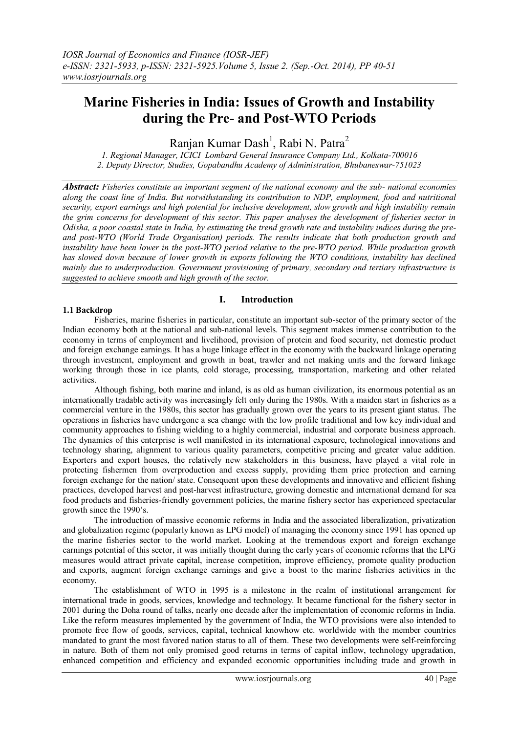# **Marine Fisheries in India: Issues of Growth and Instability during the Pre- and Post-WTO Periods**

Ranjan Kumar Dash<sup>1</sup>, Rabi N. Patra<sup>2</sup>

*1. Regional Manager, ICICI Lombard General Insurance Company Ltd., Kolkata-700016 2. Deputy Director, Studies, Gopabandhu Academy of Administration, Bhubaneswar-751023*

*Abstract: Fisheries constitute an important segment of the national economy and the sub- national economies along the coast line of India. But notwithstanding its contribution to NDP, employment, food and nutritional security, export earnings and high potential for inclusive development, slow growth and high instability remain the grim concerns for development of this sector. This paper analyses the development of fisheries sector in Odisha, a poor coastal state in India, by estimating the trend growth rate and instability indices during the preand post-WTO (World Trade Organisation) periods. The results indicate that both production growth and instability have been lower in the post-WTO period relative to the pre-WTO period. While production growth*  has slowed down because of lower growth in exports following the WTO conditions, instability has declined *mainly due to underproduction. Government provisioning of primary, secondary and tertiary infrastructure is suggested to achieve smooth and high growth of the sector.*

# **1.1 Backdrop**

# **I. Introduction**

Fisheries, marine fisheries in particular, constitute an important sub-sector of the primary sector of the Indian economy both at the national and sub-national levels. This segment makes immense contribution to the economy in terms of employment and livelihood, provision of protein and food security, net domestic product and foreign exchange earnings. It has a huge linkage effect in the economy with the backward linkage operating through investment, employment and growth in boat, trawler and net making units and the forward linkage working through those in ice plants, cold storage, processing, transportation, marketing and other related activities.

Although fishing, both marine and inland, is as old as human civilization, its enormous potential as an internationally tradable activity was increasingly felt only during the 1980s. With a maiden start in fisheries as a commercial venture in the 1980s, this sector has gradually grown over the years to its present giant status. The operations in fisheries have undergone a sea change with the low profile traditional and low key individual and community approaches to fishing wielding to a highly commercial, industrial and corporate business approach. The dynamics of this enterprise is well manifested in its international exposure, technological innovations and technology sharing, alignment to various quality parameters, competitive pricing and greater value addition. Exporters and export houses, the relatively new stakeholders in this business, have played a vital role in protecting fishermen from overproduction and excess supply, providing them price protection and earning foreign exchange for the nation/ state. Consequent upon these developments and innovative and efficient fishing practices, developed harvest and post-harvest infrastructure, growing domestic and international demand for sea food products and fisheries-friendly government policies, the marine fishery sector has experienced spectacular growth since the 1990's.

The introduction of massive economic reforms in India and the associated liberalization, privatization and globalization regime (popularly known as LPG model) of managing the economy since 1991 has opened up the marine fisheries sector to the world market. Looking at the tremendous export and foreign exchange earnings potential of this sector, it was initially thought during the early years of economic reforms that the LPG measures would attract private capital, increase competition, improve efficiency, promote quality production and exports, augment foreign exchange earnings and give a boost to the marine fisheries activities in the economy.

The establishment of WTO in 1995 is a milestone in the realm of institutional arrangement for international trade in goods, services, knowledge and technology. It became functional for the fishery sector in 2001 during the Doha round of talks, nearly one decade after the implementation of economic reforms in India. Like the reform measures implemented by the government of India, the WTO provisions were also intended to promote free flow of goods, services, capital, technical knowhow etc. worldwide with the member countries mandated to grant the most favored nation status to all of them. These two developments were self-reinforcing in nature. Both of them not only promised good returns in terms of capital inflow, technology upgradation, enhanced competition and efficiency and expanded economic opportunities including trade and growth in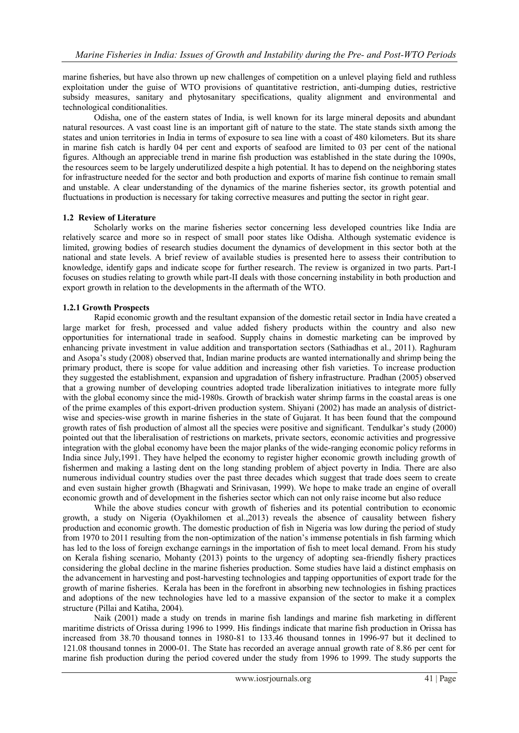marine fisheries, but have also thrown up new challenges of competition on a unlevel playing field and ruthless exploitation under the guise of WTO provisions of quantitative restriction, anti-dumping duties, restrictive subsidy measures, sanitary and phytosanitary specifications, quality alignment and environmental and technological conditionalities.

Odisha, one of the eastern states of India, is well known for its large mineral deposits and abundant natural resources. A vast coast line is an important gift of nature to the state. The state stands sixth among the states and union territories in India in terms of exposure to sea line with a coast of 480 kilometers. But its share in marine fish catch is hardly 04 per cent and exports of seafood are limited to 03 per cent of the national figures. Although an appreciable trend in marine fish production was established in the state during the 1090s, the resources seem to be largely underutilized despite a high potential. It has to depend on the neighboring states for infrastructure needed for the sector and both production and exports of marine fish continue to remain small and unstable. A clear understanding of the dynamics of the marine fisheries sector, its growth potential and fluctuations in production is necessary for taking corrective measures and putting the sector in right gear.

#### **1.2 Review of Literature**

Scholarly works on the marine fisheries sector concerning less developed countries like India are relatively scarce and more so in respect of small poor states like Odisha. Although systematic evidence is limited, growing bodies of research studies document the dynamics of development in this sector both at the national and state levels. A brief review of available studies is presented here to assess their contribution to knowledge, identify gaps and indicate scope for further research. The review is organized in two parts. Part-I focuses on studies relating to growth while part-II deals with those concerning instability in both production and export growth in relation to the developments in the aftermath of the WTO.

#### **1.2.1 Growth Prospects**

Rapid economic growth and the resultant expansion of the domestic retail sector in India have created a large market for fresh, processed and value added fishery products within the country and also new opportunities for international trade in seafood. Supply chains in domestic marketing can be improved by enhancing private investment in value addition and transportation sectors (Sathiadhas et al., 2011). Raghuram and Asopa's study (2008) observed that, Indian marine products are wanted internationally and shrimp being the primary product, there is scope for value addition and increasing other fish varieties. To increase production they suggested the establishment, expansion and upgradation of fishery infrastructure. Pradhan (2005) observed that a growing number of developing countries adopted trade liberalization initiatives to integrate more fully with the global economy since the mid-1980s. Growth of brackish water shrimp farms in the coastal areas is one of the prime examples of this export-driven production system. Shiyani (2002) has made an analysis of districtwise and species-wise growth in marine fisheries in the state of Gujarat. It has been found that the compound growth rates of fish production of almost all the species were positive and significant. Tendulkar's study (2000) pointed out that the liberalisation of restrictions on markets, private sectors, economic activities and progressive integration with the global economy have been the major planks of the wide-ranging economic policy reforms in India since July,1991. They have helped the economy to register higher economic growth including growth of fishermen and making a lasting dent on the long standing problem of abject poverty in India. There are also numerous individual country studies over the past three decades which suggest that trade does seem to create and even sustain higher growth (Bhagwati and Srinivasan, 1999). We hope to make trade an engine of overall economic growth and of development in the fisheries sector which can not only raise income but also reduce

While the above studies concur with growth of fisheries and its potential contribution to economic growth, a study on Nigeria (Oyakhilomen et al.,2013) reveals the absence of causality between fishery production and economic growth. The domestic production of fish in Nigeria was low during the period of study from 1970 to 2011 resulting from the non-optimization of the nation's immense potentials in fish farming which has led to the loss of foreign exchange earnings in the importation of fish to meet local demand. From his study on Kerala fishing scenario, Mohanty (2013) points to the urgency of adopting sea-friendly fishery practices considering the global decline in the marine fisheries production. Some studies have laid a distinct emphasis on the advancement in harvesting and post-harvesting technologies and tapping opportunities of export trade for the growth of marine fisheries. Kerala has been in the forefront in absorbing new technologies in fishing practices and adoptions of the new technologies have led to a massive expansion of the sector to make it a complex structure (Pillai and Katiha, 2004).

Naik (2001) made a study on trends in marine fish landings and marine fish marketing in different maritime districts of Orissa during 1996 to 1999. His findings indicate that marine fish production in Orissa has increased from 38.70 thousand tonnes in 1980-81 to 133.46 thousand tonnes in 1996-97 but it declined to 121.08 thousand tonnes in 2000-01. The State has recorded an average annual growth rate of 8.86 per cent for marine fish production during the period covered under the study from 1996 to 1999. The study supports the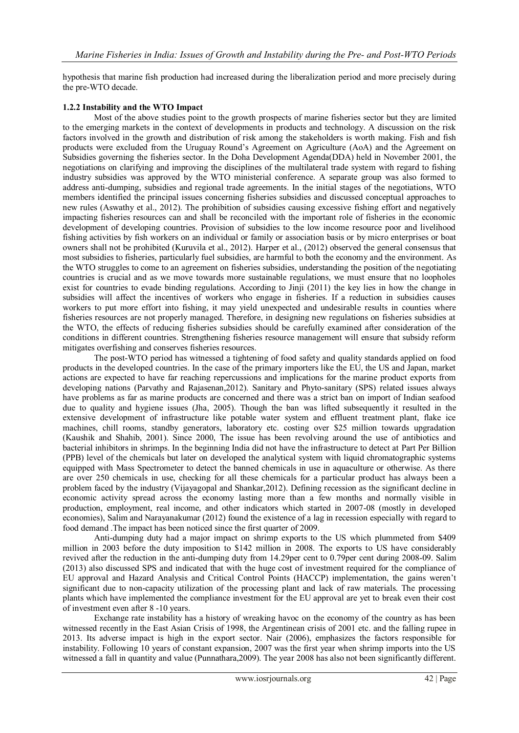hypothesis that marine fish production had increased during the liberalization period and more precisely during the pre-WTO decade.

# **1.2.2 Instability and the WTO Impact**

Most of the above studies point to the growth prospects of marine fisheries sector but they are limited to the emerging markets in the context of developments in products and technology. A discussion on the risk factors involved in the growth and distribution of risk among the stakeholders is worth making. Fish and fish products were excluded from the Uruguay Round's Agreement on Agriculture (AoA) and the Agreement on Subsidies governing the fisheries sector. In the Doha Development Agenda(DDA) held in November 2001, the negotiations on clarifying and improving the disciplines of the multilateral trade system with regard to fishing industry subsidies was approved by the WTO ministerial conference. A separate group was also formed to address anti-dumping, subsidies and regional trade agreements. In the initial stages of the negotiations, WTO members identified the principal issues concerning fisheries subsidies and discussed conceptual approaches to new rules (Aswathy et al., 2012). The prohibition of subsidies causing excessive fishing effort and negatively impacting fisheries resources can and shall be reconciled with the important role of fisheries in the economic development of developing countries. Provision of subsidies to the low income resource poor and livelihood fishing activities by fish workers on an individual or family or association basis or by micro enterprises or boat owners shall not be prohibited (Kuruvila et al., 2012). Harper et al., (2012) observed the general consensus that most subsidies to fisheries, particularly fuel subsidies, are harmful to both the economy and the environment. As the WTO struggles to come to an agreement on fisheries subsidies, understanding the position of the negotiating countries is crucial and as we move towards more sustainable regulations, we must ensure that no loopholes exist for countries to evade binding regulations. According to Jinji (2011) the key lies in how the change in subsidies will affect the incentives of workers who engage in fisheries. If a reduction in subsidies causes workers to put more effort into fishing, it may yield unexpected and undesirable results in counties where fisheries resources are not properly managed. Therefore, in designing new regulations on fisheries subsidies at the WTO, the effects of reducing fisheries subsidies should be carefully examined after consideration of the conditions in different countries. Strengthening fisheries resource management will ensure that subsidy reform mitigates overfishing and conserves fisheries resources.

The post-WTO period has witnessed a tightening of food safety and quality standards applied on food products in the developed countries. In the case of the primary importers like the EU, the US and Japan, market actions are expected to have far reaching repercussions and implications for the marine product exports from developing nations (Parvathy and Rajasenan, 2012). Sanitary and Phyto-sanitary (SPS) related issues always have problems as far as marine products are concerned and there was a strict ban on import of Indian seafood due to quality and hygiene issues (Jha, 2005). Though the ban was lifted subsequently it resulted in the extensive development of infrastructure like potable water system and effluent treatment plant, flake ice machines, chill rooms, standby generators, laboratory etc. costing over \$25 million towards upgradation (Kaushik and Shahib, 2001). Since 2000, The issue has been revolving around the use of antibiotics and bacterial inhibitors in shrimps. In the beginning India did not have the infrastructure to detect at Part Per Billion (PPB) level of the chemicals but later on developed the analytical system with liquid chromatographic systems equipped with Mass Spectrometer to detect the banned chemicals in use in aquaculture or otherwise. As there are over 250 chemicals in use, checking for all these chemicals for a particular product has always been a problem faced by the industry (Vijayagopal and Shankar,2012). Defining recession as the significant decline in economic activity spread across the economy lasting more than a few months and normally visible in production, employment, real income, and other indicators which started in 2007-08 (mostly in developed economies), Salim and Narayanakumar (2012) found the existence of a lag in recession especially with regard to food demand .The impact has been noticed since the first quarter of 2009.

Anti-dumping duty had a major impact on shrimp exports to the US which plummeted from \$409 million in 2003 before the duty imposition to \$142 million in 2008. The exports to US have considerably revived after the reduction in the anti-dumping duty from 14.29per cent to 0.79per cent during 2008-09. Salim (2013) also discussed SPS and indicated that with the huge cost of investment required for the compliance of EU approval and Hazard Analysis and Critical Control Points (HACCP) implementation, the gains weren't significant due to non-capacity utilization of the processing plant and lack of raw materials. The processing plants which have implemented the compliance investment for the EU approval are yet to break even their cost of investment even after 8 -10 years.

Exchange rate instability has a history of wreaking havoc on the economy of the country as has been witnessed recently in the East Asian Crisis of 1998, the Argentinean crisis of 2001 etc. and the falling rupee in 2013. Its adverse impact is high in the export sector. Nair (2006), emphasizes the factors responsible for instability. Following 10 years of constant expansion, 2007 was the first year when shrimp imports into the US witnessed a fall in quantity and value (Punnathara,2009). The year 2008 has also not been significantly different.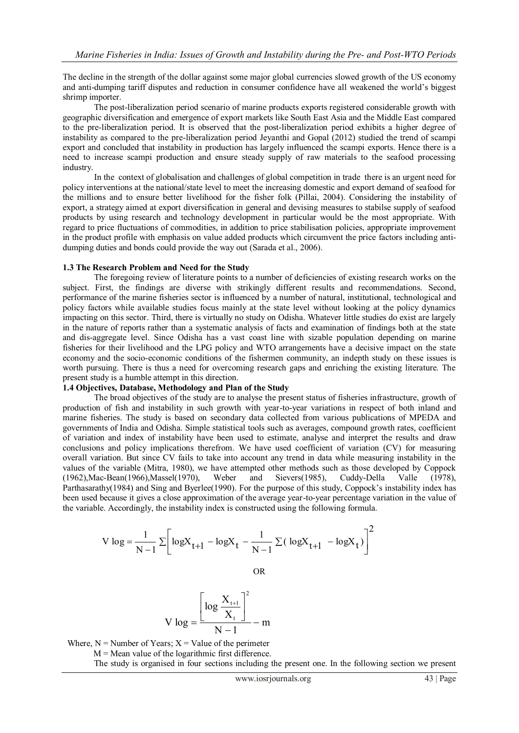The decline in the strength of the dollar against some major global currencies slowed growth of the US economy and anti-dumping tariff disputes and reduction in consumer confidence have all weakened the world's biggest shrimp importer.

The post-liberalization period scenario of marine products exports registered considerable growth with geographic diversification and emergence of export markets like South East Asia and the Middle East compared to the pre-liberalization period. It is observed that the post-liberalization period exhibits a higher degree of instability as compared to the pre-liberalization period Jeyanthi and Gopal (2012) studied the trend of scampi export and concluded that instability in production has largely influenced the scampi exports. Hence there is a need to increase scampi production and ensure steady supply of raw materials to the seafood processing industry.

In the context of globalisation and challenges of global competition in trade there is an urgent need for policy interventions at the national/state level to meet the increasing domestic and export demand of seafood for the millions and to ensure better livelihood for the fisher folk (Pillai, 2004). Considering the instability of export, a strategy aimed at export diversification in general and devising measures to stabilse supply of seafood products by using research and technology development in particular would be the most appropriate. With regard to price fluctuations of commodities, in addition to price stabilisation policies, appropriate improvement in the product profile with emphasis on value added products which circumvent the price factors including antidumping duties and bonds could provide the way out (Sarada et al., 2006).

#### **1.3 The Research Problem and Need for the Study**

The foregoing review of literature points to a number of deficiencies of existing research works on the subject. First, the findings are diverse with strikingly different results and recommendations. Second, performance of the marine fisheries sector is influenced by a number of natural, institutional, technological and policy factors while available studies focus mainly at the state level without looking at the policy dynamics impacting on this sector. Third, there is virtually no study on Odisha. Whatever little studies do exist are largely in the nature of reports rather than a systematic analysis of facts and examination of findings both at the state and dis-aggregate level. Since Odisha has a vast coast line with sizable population depending on marine fisheries for their livelihood and the LPG policy and WTO arrangements have a decisive impact on the state economy and the socio-economic conditions of the fishermen community, an indepth study on these issues is worth pursuing. There is thus a need for overcoming research gaps and enriching the existing literature. The present study is a humble attempt in this direction.

#### **1.4 Objectives, Database, Methodology and Plan of the Study**

The broad objectives of the study are to analyse the present status of fisheries infrastructure, growth of production of fish and instability in such growth with year-to-year variations in respect of both inland and marine fisheries. The study is based on secondary data collected from various publications of MPEDA and governments of India and Odisha. Simple statistical tools such as averages, compound growth rates, coefficient of variation and index of instability have been used to estimate, analyse and interpret the results and draw conclusions and policy implications therefrom. We have used coefficient of variation (CV) for measuring overall variation. But since CV fails to take into account any trend in data while measuring instability in the values of the variable (Mitra, 1980), we have attempted other methods such as those developed by Coppock (1962),Mac-Bean(1966),Massel(1970), Weber and Sievers(1985), Cuddy-Della Valle (1978), Parthasarathy(1984) and Sing and Byerlee(1990). For the purpose of this study, Coppock's instability index has been used because it gives a close approximation of the average year-to-year percentage variation in the value of the variable. Accordingly, the instability index is constructed using the following formula.

$$
V \log = \frac{1}{N - 1} \sum \left[ \log X_{t+1} - \log X_t - \frac{1}{N - 1} \sum (\log X_{t+1} - \log X_t) \right]^2
$$

OR

$$
V \log = \frac{\left[\log \frac{X_{t+1}}{X_t}\right]^2}{N-1} - m
$$

Where,  $N =$  Number of Years;  $X =$  Value of the perimeter

 $M =$  Mean value of the logarithmic first difference.

The study is organised in four sections including the present one. In the following section we present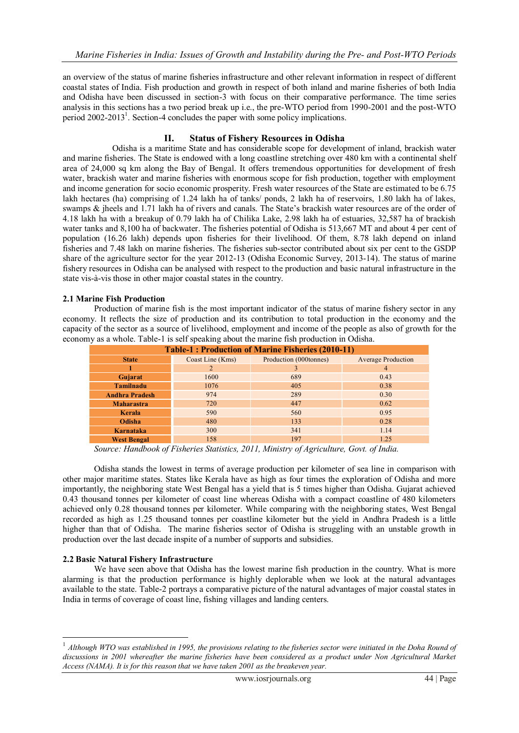an overview of the status of marine fisheries infrastructure and other relevant information in respect of different coastal states of India. Fish production and growth in respect of both inland and marine fisheries of both India and Odisha have been discussed in section-3 with focus on their comparative performance. The time series analysis in this sections has a two period break up i.e., the pre-WTO period from 1990-2001 and the post-WTO period 2002-2013<sup>1</sup>. Section-4 concludes the paper with some policy implications.

# **II. Status of Fishery Resources in Odisha**

Odisha is a maritime State and has considerable scope for development of inland, brackish water and marine fisheries. The State is endowed with a long coastline stretching over 480 km with a continental shelf area of 24,000 sq km along the Bay of Bengal. It offers tremendous opportunities for development of fresh water, brackish water and marine fisheries with enormous scope for fish production, together with employment and income generation for socio economic prosperity. Fresh water resources of the State are estimated to be 6.75 lakh hectares (ha) comprising of 1.24 lakh ha of tanks/ ponds, 2 lakh ha of reservoirs, 1.80 lakh ha of lakes, swamps & jheels and 1.71 lakh ha of rivers and canals. The State's brackish water resources are of the order of 4.18 lakh ha with a breakup of 0.79 lakh ha of Chilika Lake, 2.98 lakh ha of estuaries, 32,587 ha of brackish water tanks and 8,100 ha of backwater. The fisheries potential of Odisha is 513,667 MT and about 4 per cent of population (16.26 lakh) depends upon fisheries for their livelihood. Of them, 8.78 lakh depend on inland fisheries and 7.48 lakh on marine fisheries. The fisheries sub-sector contributed about six per cent to the GSDP share of the agriculture sector for the year 2012-13 (Odisha Economic Survey, 2013-14). The status of marine fishery resources in Odisha can be analysed with respect to the production and basic natural infrastructure in the state vis-à-vis those in other major coastal states in the country.

# **2.1 Marine Fish Production**

Production of marine fish is the most important indicator of the status of marine fishery sector in any economy. It reflects the size of production and its contribution to total production in the economy and the capacity of the sector as a source of livelihood, employment and income of the people as also of growth for the economy as a whole. Table-1 is self speaking about the marine fish production in Odisha.

| <b>Table-1: Production of Marine Fisheries (2010-11)</b> |                  |                        |                           |  |  |  |  |  |  |
|----------------------------------------------------------|------------------|------------------------|---------------------------|--|--|--|--|--|--|
| <b>State</b>                                             | Coast Line (Kms) | Production (000tonnes) | <b>Average Production</b> |  |  |  |  |  |  |
|                                                          |                  | 3                      | 4                         |  |  |  |  |  |  |
| Gujarat                                                  | 1600             | 689                    | 0.43                      |  |  |  |  |  |  |
| <b>Tamilnadu</b>                                         | 1076             | 405                    | 0.38                      |  |  |  |  |  |  |
| <b>Andhra Pradesh</b>                                    | 974              | 289                    | 0.30                      |  |  |  |  |  |  |
| <b>Maharastra</b>                                        | 720              | 447                    | 0.62                      |  |  |  |  |  |  |
| <b>Kerala</b>                                            | 590              | 560                    | 0.95                      |  |  |  |  |  |  |
| Odisha                                                   | 480              | 133                    | 0.28                      |  |  |  |  |  |  |
| Karnataka                                                | 300              | 341                    | 1.14                      |  |  |  |  |  |  |
| <b>West Bengal</b>                                       | 158              | 197                    | 1.25                      |  |  |  |  |  |  |

*Source: Handbook of Fisheries Statistics, 2011, Ministry of Agriculture, Govt. of India.*

Odisha stands the lowest in terms of average production per kilometer of sea line in comparison with other major maritime states. States like Kerala have as high as four times the exploration of Odisha and more importantly, the neighboring state West Bengal has a yield that is 5 times higher than Odisha. Gujarat achieved 0.43 thousand tonnes per kilometer of coast line whereas Odisha with a compact coastline of 480 kilometers achieved only 0.28 thousand tonnes per kilometer. While comparing with the neighboring states, West Bengal recorded as high as 1.25 thousand tonnes per coastline kilometer but the yield in Andhra Pradesh is a little higher than that of Odisha. The marine fisheries sector of Odisha is struggling with an unstable growth in production over the last decade inspite of a number of supports and subsidies.

# **2.2 Basic Natural Fishery Infrastructure**

1

We have seen above that Odisha has the lowest marine fish production in the country. What is more alarming is that the production performance is highly deplorable when we look at the natural advantages available to the state. Table-2 portrays a comparative picture of the natural advantages of major coastal states in India in terms of coverage of coast line, fishing villages and landing centers.

<sup>&</sup>lt;sup>1</sup> Although WTO was established in 1995, the provisions relating to the fisheries sector were initiated in the Doha Round of *discussions in 2001 whereafter the marine fisheries have been considered as a product under Non Agricultural Market Access (NAMA). It is for this reason that we have taken 2001 as the breakeven year.*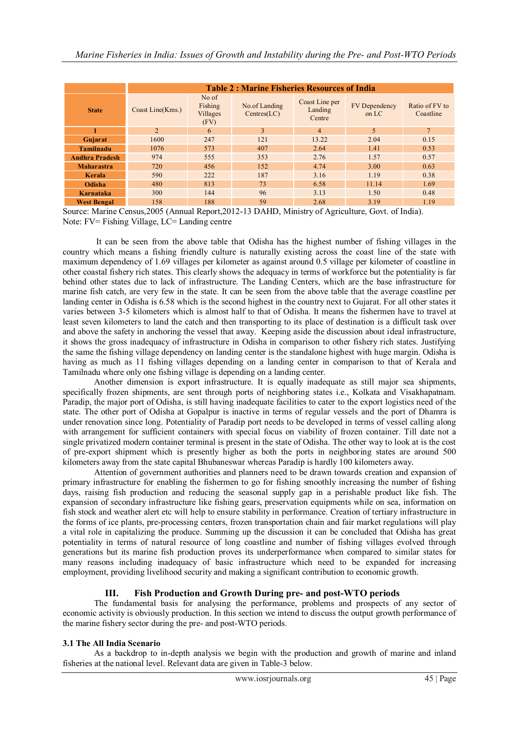|                       | <b>Table 2: Marine Fisheries Resources of India</b> |                                      |                              |                                     |                                 |                             |  |  |  |  |  |
|-----------------------|-----------------------------------------------------|--------------------------------------|------------------------------|-------------------------------------|---------------------------------|-----------------------------|--|--|--|--|--|
| <b>State</b>          | Coast Line(Kms.)                                    | No of<br>Fishing<br>Villages<br>(FV) | No.of Landing<br>Centres(LC) | Coast Line per<br>Landing<br>Centre | <b>FV</b> Dependency<br>on $LC$ | Ratio of FV to<br>Coastline |  |  |  |  |  |
|                       | $\overline{2}$                                      | 6                                    | 3                            | $\overline{4}$                      | 5                               | 7 <sup>1</sup>              |  |  |  |  |  |
| Gujarat               | 1600                                                | 247                                  | 121                          | 13.22                               | 2.04                            | 0.15                        |  |  |  |  |  |
| <b>Tamilnadu</b>      | 1076                                                | 573                                  | 407                          | 2.64                                | 1.41                            | 0.53                        |  |  |  |  |  |
| <b>Andhra Pradesh</b> | 974                                                 | 555                                  | 353                          | 2.76                                | 1.57                            | 0.57                        |  |  |  |  |  |
| <b>Maharastra</b>     | 720                                                 | 456                                  | 152                          | 4.74                                | 3.00                            | 0.63                        |  |  |  |  |  |
| Kerala                | 590                                                 | 222                                  | 187                          | 3.16                                | 1.19                            | 0.38                        |  |  |  |  |  |
| Odisha                | 480                                                 | 813                                  | 73                           | 6.58                                | 11.14                           | 1.69                        |  |  |  |  |  |
| Karnataka             | 300                                                 | 144                                  | 96                           | 3.13                                | 1.50                            | 0.48                        |  |  |  |  |  |
| <b>West Bengal</b>    | 158                                                 | 188                                  | 59                           | 2.68                                | 3.19                            | 1.19                        |  |  |  |  |  |

Source: Marine Census,2005 (Annual Report,2012-13 DAHD, Ministry of Agriculture, Govt. of India). Note: FV= Fishing Village, LC= Landing centre

It can be seen from the above table that Odisha has the highest number of fishing villages in the country which means a fishing friendly culture is naturally existing across the coast line of the state with maximum dependency of 1.69 villages per kilometer as against around 0.5 village per kilometer of coastline in other coastal fishery rich states. This clearly shows the adequacy in terms of workforce but the potentiality is far behind other states due to lack of infrastructure. The Landing Centers, which are the base infrastructure for marine fish catch, are very few in the state. It can be seen from the above table that the average coastline per landing center in Odisha is 6.58 which is the second highest in the country next to Gujarat. For all other states it varies between 3-5 kilometers which is almost half to that of Odisha. It means the fishermen have to travel at least seven kilometers to land the catch and then transporting to its place of destination is a difficult task over and above the safety in anchoring the vessel that away. Keeping aside the discussion about ideal infrastructure, it shows the gross inadequacy of infrastructure in Odisha in comparison to other fishery rich states. Justifying the same the fishing village dependency on landing center is the standalone highest with huge margin. Odisha is having as much as 11 fishing villages depending on a landing center in comparison to that of Kerala and Tamilnadu where only one fishing village is depending on a landing center.

Another dimension is export infrastructure. It is equally inadequate as still major sea shipments, specifically frozen shipments, are sent through ports of neighboring states i.e., Kolkata and Visakhapatnam. Paradip, the major port of Odisha, is still having inadequate facilities to cater to the export logistics need of the state. The other port of Odisha at Gopalpur is inactive in terms of regular vessels and the port of Dhamra is under renovation since long. Potentiality of Paradip port needs to be developed in terms of vessel calling along with arrangement for sufficient containers with special focus on viability of frozen container. Till date not a single privatized modern container terminal is present in the state of Odisha. The other way to look at is the cost of pre-export shipment which is presently higher as both the ports in neighboring states are around 500 kilometers away from the state capital Bhubaneswar whereas Paradip is hardly 100 kilometers away.

Attention of government authorities and planners need to be drawn towards creation and expansion of primary infrastructure for enabling the fishermen to go for fishing smoothly increasing the number of fishing days, raising fish production and reducing the seasonal supply gap in a perishable product like fish. The expansion of secondary infrastructure like fishing gears, preservation equipments while on sea, information on fish stock and weather alert etc will help to ensure stability in performance. Creation of tertiary infrastructure in the forms of ice plants, pre-processing centers, frozen transportation chain and fair market regulations will play a vital role in capitalizing the produce. Summing up the discussion it can be concluded that Odisha has great potentiality in terms of natural resource of long coastline and number of fishing villages evolved through generations but its marine fish production proves its underperformance when compared to similar states for many reasons including inadequacy of basic infrastructure which need to be expanded for increasing employment, providing livelihood security and making a significant contribution to economic growth.

# **III. Fish Production and Growth During pre- and post-WTO periods**

The fundamental basis for analysing the performance, problems and prospects of any sector of economic activity is obviously production. In this section we intend to discuss the output growth performance of the marine fishery sector during the pre- and post-WTO periods.

# **3.1 The All India Scenario**

As a backdrop to in-depth analysis we begin with the production and growth of marine and inland fisheries at the national level. Relevant data are given in Table-3 below.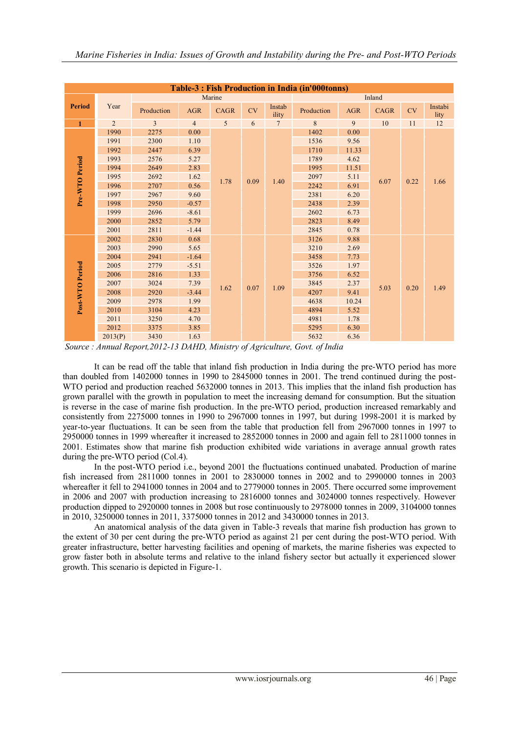| Table-3 : Fish Production in India (in'000tonns) |                |                |                |                |           |                 |            |            |             |      |                 |  |  |
|--------------------------------------------------|----------------|----------------|----------------|----------------|-----------|-----------------|------------|------------|-------------|------|-----------------|--|--|
|                                                  |                |                | Inland         |                |           |                 |            |            |             |      |                 |  |  |
| <b>Period</b>                                    | Year           | Production     | <b>AGR</b>     | <b>CAGR</b>    | <b>CV</b> | Instab<br>ility | Production | <b>AGR</b> | <b>CAGR</b> | CV   | Instabi<br>lity |  |  |
| $\mathbf{1}$                                     | $\overline{2}$ | $\overline{3}$ | $\overline{4}$ | $\overline{5}$ | 6         | $\overline{7}$  | 8          | 9          | $10\,$      | 11   | 12              |  |  |
|                                                  | 1990           | 2275           | 0.00           | 1.78           |           |                 | 1402       | 0.00       |             | 0.22 | 1.66            |  |  |
|                                                  | 1991           | 2300           | 1.10           |                | 0.09      | 1.40            | 1536       | 9.56       |             |      |                 |  |  |
|                                                  | 1992           | 2447           | 6.39           |                |           |                 | 1710       | 11.33      |             |      |                 |  |  |
|                                                  | 1993           | 2576           | 5.27           |                |           |                 | 1789       | 4.62       |             |      |                 |  |  |
|                                                  | 1994           | 2649           | 2.83           |                |           |                 | 1995       | 11.51      |             |      |                 |  |  |
|                                                  | 1995           | 2692           | 1.62           |                |           |                 | 2097       | 5.11       | 6.07        |      |                 |  |  |
| Pre-WTO Period                                   | 1996           | 2707           | 0.56           |                |           |                 | 2242       | 6.91       |             |      |                 |  |  |
|                                                  | 1997           | 2967           | 9.60           |                |           |                 | 2381       | 6.20       |             |      |                 |  |  |
|                                                  | 1998           | 2950           | $-0.57$        |                |           |                 | 2438       | 2.39       |             |      |                 |  |  |
|                                                  | 1999           | 2696           | $-8.61$        |                |           |                 | 2602       | 6.73       |             |      |                 |  |  |
|                                                  | 2000           | 2852           | 5.79           |                |           |                 | 2823       | 8.49       |             |      |                 |  |  |
|                                                  | 2001           | 2811           | $-1.44$        |                |           |                 |            |            | 2845        | 0.78 |                 |  |  |
|                                                  | 2002           | 2830           | 0.68           |                | 0.07      |                 | 3126       | 9.88       |             |      |                 |  |  |
|                                                  | 2003           | 2990           | 5.65           |                |           |                 |            |            | 3210        | 2.69 |                 |  |  |
|                                                  | 2004           | 2941           | $-1.64$        |                |           |                 | 3458       | 7.73       |             |      | 1.49            |  |  |
|                                                  | 2005           | 2779           | $-5.51$        |                |           |                 | 3526       | 1.97       |             |      |                 |  |  |
|                                                  | 2006           | 2816           | 1.33           |                |           |                 | 3756       | 6.52       |             |      |                 |  |  |
|                                                  | 2007           | 3024           | 7.39           | 1.62           |           | 1.09            | 3845       | 2.37       | 5.03        | 0.20 |                 |  |  |
|                                                  | 2008           | 2920           | $-3.44$        |                |           |                 | 4207       | 9.41       |             |      |                 |  |  |
| Post-WTO Period                                  | 2009           | 2978           | 1.99           |                |           |                 | 4638       | 10.24      |             |      |                 |  |  |
|                                                  | 2010           | 3104           | 4.23           |                |           |                 | 4894       | 5.52       |             |      |                 |  |  |
|                                                  | 2011           | 3250           | 4.70           |                |           |                 |            | 4981       | 1.78        |      |                 |  |  |
|                                                  | 2012           | 3375           | 3.85           |                |           |                 |            |            | 5295        | 6.30 |                 |  |  |
|                                                  | 2013(P)        | 3430           | 1.63           |                |           |                 | 5632       | 6.36       |             |      |                 |  |  |

*Source : Annual Report,2012-13 DAHD, Ministry of Agriculture, Govt. of India*

It can be read off the table that inland fish production in India during the pre-WTO period has more than doubled from 1402000 tonnes in 1990 to 2845000 tonnes in 2001. The trend continued during the post-WTO period and production reached 5632000 tonnes in 2013. This implies that the inland fish production has grown parallel with the growth in population to meet the increasing demand for consumption. But the situation is reverse in the case of marine fish production. In the pre-WTO period, production increased remarkably and consistently from 2275000 tonnes in 1990 to 2967000 tonnes in 1997, but during 1998-2001 it is marked by year-to-year fluctuations. It can be seen from the table that production fell from 2967000 tonnes in 1997 to 2950000 tonnes in 1999 whereafter it increased to 2852000 tonnes in 2000 and again fell to 2811000 tonnes in 2001. Estimates show that marine fish production exhibited wide variations in average annual growth rates during the pre-WTO period (Col.4).

In the post-WTO period i.e., beyond 2001 the fluctuations continued unabated. Production of marine fish increased from 2811000 tonnes in 2001 to 2830000 tonnes in 2002 and to 2990000 tonnes in 2003 whereafter it fell to 2941000 tonnes in 2004 and to 2779000 tonnes in 2005. There occurred some improvement in 2006 and 2007 with production increasing to 2816000 tonnes and 3024000 tonnes respectively. However production dipped to 2920000 tonnes in 2008 but rose continuously to 2978000 tonnes in 2009, 3104000 tonnes in 2010, 3250000 tonnes in 2011, 3375000 tonnes in 2012 and 3430000 tonnes in 2013.

An anatomical analysis of the data given in Table-3 reveals that marine fish production has grown to the extent of 30 per cent during the pre-WTO period as against 21 per cent during the post-WTO period. With greater infrastructure, better harvesting facilities and opening of markets, the marine fisheries was expected to grow faster both in absolute terms and relative to the inland fishery sector but actually it experienced slower growth. This scenario is depicted in Figure-1.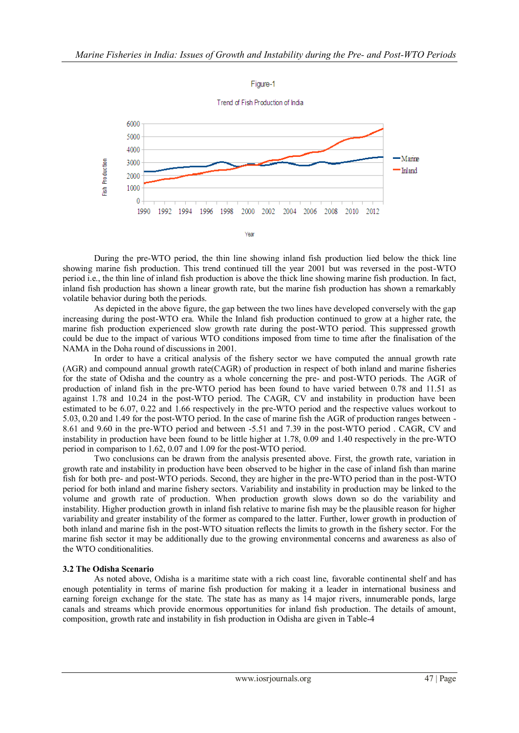

During the pre-WTO period, the thin line showing inland fish production lied below the thick line showing marine fish production. This trend continued till the year 2001 but was reversed in the post-WTO period i.e., the thin line of inland fish production is above the thick line showing marine fish production. In fact, inland fish production has shown a linear growth rate, but the marine fish production has shown a remarkably volatile behavior during both the periods.

As depicted in the above figure, the gap between the two lines have developed conversely with the gap increasing during the post-WTO era. While the Inland fish production continued to grow at a higher rate, the marine fish production experienced slow growth rate during the post-WTO period. This suppressed growth could be due to the impact of various WTO conditions imposed from time to time after the finalisation of the NAMA in the Doha round of discussions in 2001.

In order to have a critical analysis of the fishery sector we have computed the annual growth rate (AGR) and compound annual growth rate(CAGR) of production in respect of both inland and marine fisheries for the state of Odisha and the country as a whole concerning the pre- and post-WTO periods. The AGR of production of inland fish in the pre-WTO period has been found to have varied between 0.78 and 11.51 as against 1.78 and 10.24 in the post-WTO period. The CAGR, CV and instability in production have been estimated to be 6.07, 0.22 and 1.66 respectively in the pre-WTO period and the respective values workout to 5.03, 0.20 and 1.49 for the post-WTO period. In the case of marine fish the AGR of production ranges between - 8.61 and 9.60 in the pre-WTO period and between -5.51 and 7.39 in the post-WTO period . CAGR, CV and instability in production have been found to be little higher at 1.78, 0.09 and 1.40 respectively in the pre-WTO period in comparison to 1.62, 0.07 and 1.09 for the post-WTO period.

Two conclusions can be drawn from the analysis presented above. First, the growth rate, variation in growth rate and instability in production have been observed to be higher in the case of inland fish than marine fish for both pre- and post-WTO periods. Second, they are higher in the pre-WTO period than in the post-WTO period for both inland and marine fishery sectors. Variability and instability in production may be linked to the volume and growth rate of production. When production growth slows down so do the variability and instability. Higher production growth in inland fish relative to marine fish may be the plausible reason for higher variability and greater instability of the former as compared to the latter. Further, lower growth in production of both inland and marine fish in the post-WTO situation reflects the limits to growth in the fishery sector. For the marine fish sector it may be additionally due to the growing environmental concerns and awareness as also of the WTO conditionalities.

# **3.2 The Odisha Scenario**

As noted above, Odisha is a maritime state with a rich coast line, favorable continental shelf and has enough potentiality in terms of marine fish production for making it a leader in international business and earning foreign exchange for the state. The state has as many as 14 major rivers, innumerable ponds, large canals and streams which provide enormous opportunities for inland fish production. The details of amount, composition, growth rate and instability in fish production in Odisha are given in Table-4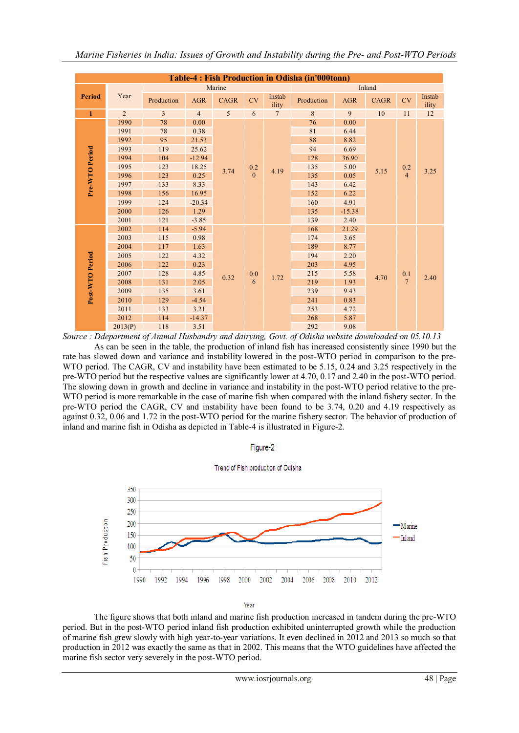| Table-4 : Fish Production in Odisha (in'000tonn) |                |                |                |        |         |                 |            |            |             |                                         |                 |          |  |  |  |  |  |  |     |      |  |  |  |
|--------------------------------------------------|----------------|----------------|----------------|--------|---------|-----------------|------------|------------|-------------|-----------------------------------------|-----------------|----------|--|--|--|--|--|--|-----|------|--|--|--|
|                                                  |                |                |                | Marine |         | Inland          |            |            |             |                                         |                 |          |  |  |  |  |  |  |     |      |  |  |  |
| <b>Period</b>                                    | Year           | Production     | <b>AGR</b>     | CAGR   | CV      | Instab<br>ility | Production | <b>AGR</b> | <b>CAGR</b> | CV                                      | Instab<br>ility |          |  |  |  |  |  |  |     |      |  |  |  |
| $\mathbf{1}$                                     | $\overline{2}$ | $\overline{3}$ | $\overline{4}$ | 5      | 6       | $\overline{7}$  | 8          | 9          | 10          | 11                                      | $12\,$          |          |  |  |  |  |  |  |     |      |  |  |  |
|                                                  | 1990           | 78             | 0.00           | 3.74   |         |                 | 76         | 0.00       |             | $\begin{array}{c} 0.2 \\ 4 \end{array}$ |                 |          |  |  |  |  |  |  |     |      |  |  |  |
|                                                  | 1991           | 78             | 0.38           |        |         |                 | 81         | 6.44       | 5.15        |                                         |                 |          |  |  |  |  |  |  |     |      |  |  |  |
|                                                  | 1992           | 95             | 21.53          |        |         |                 | 88         | 8.82       |             |                                         |                 |          |  |  |  |  |  |  |     |      |  |  |  |
|                                                  | 1993           | 119            | 25.62          |        |         |                 | 94         | 6.69       |             |                                         | 3.25            |          |  |  |  |  |  |  |     |      |  |  |  |
|                                                  | 1994           | 104            | $-12.94$       |        | 0.2     | 4.19            | 128        | 36.90      |             |                                         |                 |          |  |  |  |  |  |  |     |      |  |  |  |
| Pre-WTO Period                                   | 1995           | 123            | 18.25          |        |         |                 | 135        | 5.00       |             |                                         |                 |          |  |  |  |  |  |  |     |      |  |  |  |
|                                                  | 1996           | 123            | 0.25           |        |         |                 |            |            |             |                                         |                 | $\theta$ |  |  |  |  |  |  | 135 | 0.05 |  |  |  |
|                                                  | 1997           | 133            | 8.33           |        |         |                 | 143        | 6.42       |             |                                         |                 |          |  |  |  |  |  |  |     |      |  |  |  |
|                                                  | 1998           | 156            | 16.95          |        |         |                 | 152        | 6.22       |             |                                         |                 |          |  |  |  |  |  |  |     |      |  |  |  |
|                                                  | 1999           | 124            | $-20.34$       |        |         |                 | 160        | 4.91       |             |                                         |                 |          |  |  |  |  |  |  |     |      |  |  |  |
|                                                  | 2000           | 126            | 1.29           |        |         |                 | 135        | $-15.38$   |             |                                         |                 |          |  |  |  |  |  |  |     |      |  |  |  |
|                                                  | 2001           | 121            | $-3.85$        |        |         |                 |            | 139        | 2.40        |                                         |                 |          |  |  |  |  |  |  |     |      |  |  |  |
|                                                  | 2002           | 114            | $-5.94$        |        |         |                 | 168        | 21.29      |             |                                         |                 |          |  |  |  |  |  |  |     |      |  |  |  |
|                                                  | 2003           | 115            | 0.98           |        |         |                 |            |            | 174         | 3.65                                    |                 |          |  |  |  |  |  |  |     |      |  |  |  |
|                                                  | 2004           | 117            | 1.63           |        |         |                 |            |            | 189         | 8.77                                    |                 |          |  |  |  |  |  |  |     |      |  |  |  |
|                                                  | 2005           | 122            | 4.32           |        |         |                 | 194        | 2.20       |             |                                         |                 |          |  |  |  |  |  |  |     |      |  |  |  |
|                                                  | 2006           | 122            | 0.23           |        |         |                 |            | 203        | 4.95        |                                         |                 |          |  |  |  |  |  |  |     |      |  |  |  |
|                                                  | 2007           | 128            | 4.85           |        | $0.0\,$ | 1.72            | 215        | 5.58       | 4.70        | $^{0.1}_{7}$                            | 2.40            |          |  |  |  |  |  |  |     |      |  |  |  |
|                                                  | 2008           | 131            | 2.05           | 0.32   | 6       |                 | 219        | 1.93       |             |                                         |                 |          |  |  |  |  |  |  |     |      |  |  |  |
| Post-WTO Period                                  | 2009           | 135            | 3.61           |        |         |                 | 239        | 9.43       |             |                                         |                 |          |  |  |  |  |  |  |     |      |  |  |  |
|                                                  | 2010           | 129            | $-4.54$        |        |         |                 |            |            | 241         | 0.83                                    |                 |          |  |  |  |  |  |  |     |      |  |  |  |
|                                                  | 2011           | 133            | 3.21           |        |         |                 |            |            | 253         | 4.72                                    |                 |          |  |  |  |  |  |  |     |      |  |  |  |
|                                                  | 2012           | 114            | $-14.37$       |        |         |                 | 268        | 5.87       |             |                                         |                 |          |  |  |  |  |  |  |     |      |  |  |  |
|                                                  | 2013(P)        | 118            | 3.51           |        |         |                 |            | 292        | 9.08        |                                         |                 |          |  |  |  |  |  |  |     |      |  |  |  |

*Source : Ddepartment of Animal Husbandry and dairying, Govt. of Odisha website downloaded on 05.10.13*

As can be seen in the table, the production of inland fish has increased consistently since 1990 but the rate has slowed down and variance and instability lowered in the post-WTO period in comparison to the pre-WTO period. The CAGR, CV and instability have been estimated to be 5.15, 0.24 and 3.25 respectively in the pre-WTO period but the respective values are significantly lower at 4.70, 0.17 and 2.40 in the post-WTO period. The slowing down in growth and decline in variance and instability in the post-WTO period relative to the pre-WTO period is more remarkable in the case of marine fish when compared with the inland fishery sector. In the pre-WTO period the CAGR, CV and instability have been found to be 3.74, 0.20 and 4.19 respectively as against 0.32, 0.06 and 1.72 in the post-WTO period for the marine fishery sector. The behavior of production of inland and marine fish in Odisha as depicted in Table-4 is illustrated in Figure-2.



Figure-2

Year

The figure shows that both inland and marine fish production increased in tandem during the pre-WTO period. But in the post-WTO period inland fish production exhibited uninterrupted growth while the production of marine fish grew slowly with high year-to-year variations. It even declined in 2012 and 2013 so much so that production in 2012 was exactly the same as that in 2002. This means that the WTO guidelines have affected the marine fish sector very severely in the post-WTO period.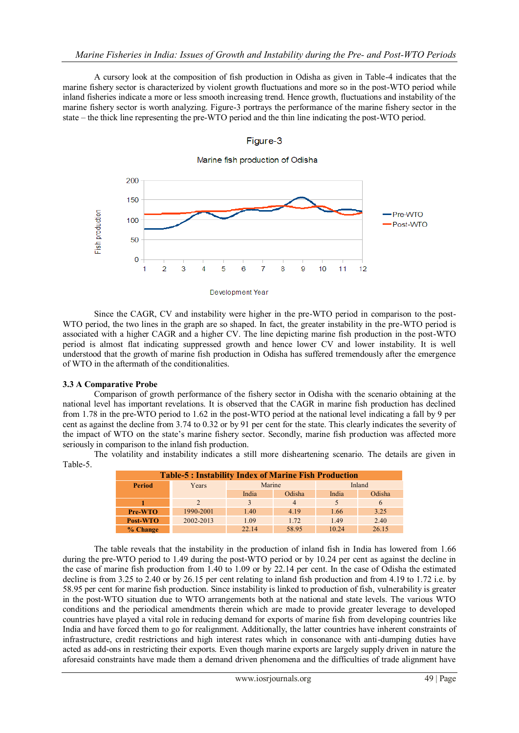A cursory look at the composition of fish production in Odisha as given in Table-4 indicates that the marine fishery sector is characterized by violent growth fluctuations and more so in the post-WTO period while inland fisheries indicate a more or less smooth increasing trend. Hence growth, fluctuations and instability of the marine fishery sector is worth analyzing. Figure-3 portrays the performance of the marine fishery sector in the state – the thick line representing the pre-WTO period and the thin line indicating the post-WTO period.

Figure-3



Since the CAGR, CV and instability were higher in the pre-WTO period in comparison to the post-WTO period, the two lines in the graph are so shaped. In fact, the greater instability in the pre-WTO period is associated with a higher CAGR and a higher CV. The line depicting marine fish production in the post-WTO period is almost flat indicating suppressed growth and hence lower CV and lower instability. It is well understood that the growth of marine fish production in Odisha has suffered tremendously after the emergence of WTO in the aftermath of the conditionalities.

#### **3.3 A Comparative Probe**

Comparison of growth performance of the fishery sector in Odisha with the scenario obtaining at the national level has important revelations. It is observed that the CAGR in marine fish production has declined from 1.78 in the pre-WTO period to 1.62 in the post-WTO period at the national level indicating a fall by 9 per cent as against the decline from 3.74 to 0.32 or by 91 per cent for the state. This clearly indicates the severity of the impact of WTO on the state's marine fishery sector. Secondly, marine fish production was affected more seriously in comparison to the inland fish production.

The volatility and instability indicates a still more disheartening scenario. The details are given in Table-5.

| <b>Table-5: Instability Index of Marine Fish Production</b> |           |        |                |        |        |  |  |  |  |
|-------------------------------------------------------------|-----------|--------|----------------|--------|--------|--|--|--|--|
| <b>Period</b>                                               | Years     | Marine |                | Inland |        |  |  |  |  |
|                                                             |           | India  | Odisha         | India  | Odisha |  |  |  |  |
|                                                             |           |        | $\overline{4}$ |        | 6      |  |  |  |  |
| Pre-WTO                                                     | 1990-2001 | 1.40   | 4.19           | 1.66   | 3.25   |  |  |  |  |
| Post-WTO                                                    | 2002-2013 | 1.09   | 1.72           | 1.49   | 2.40   |  |  |  |  |
| % Change                                                    |           | 22.14  | 58.95          | 10 24  | 26.15  |  |  |  |  |

The table reveals that the instability in the production of inland fish in India has lowered from 1.66 during the pre-WTO period to 1.49 during the post-WTO period or by 10.24 per cent as against the decline in the case of marine fish production from 1.40 to 1.09 or by 22.14 per cent. In the case of Odisha the estimated decline is from 3.25 to 2.40 or by 26.15 per cent relating to inland fish production and from 4.19 to 1.72 i.e. by 58.95 per cent for marine fish production. Since instability is linked to production of fish, vulnerability is greater in the post-WTO situation due to WTO arrangements both at the national and state levels. The various WTO conditions and the periodical amendments therein which are made to provide greater leverage to developed countries have played a vital role in reducing demand for exports of marine fish from developing countries like India and have forced them to go for realignment. Additionally, the latter countries have inherent constraints of infrastructure, credit restrictions and high interest rates which in consonance with anti-dumping duties have acted as add-ons in restricting their exports. Even though marine exports are largely supply driven in nature the aforesaid constraints have made them a demand driven phenomena and the difficulties of trade alignment have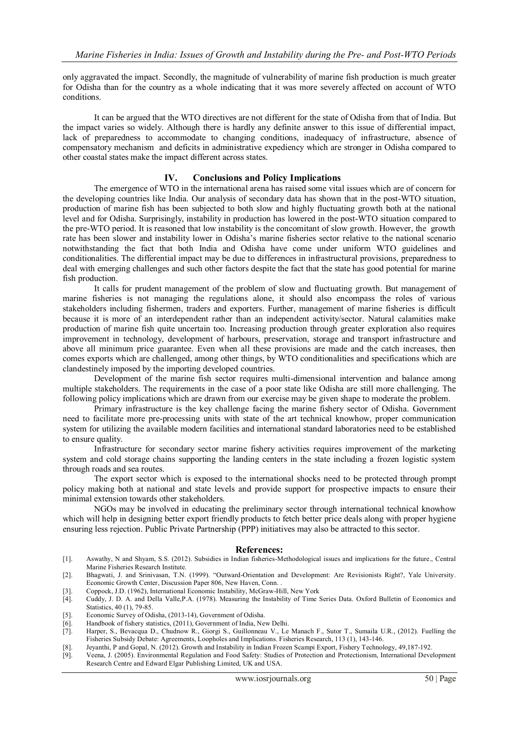only aggravated the impact. Secondly, the magnitude of vulnerability of marine fish production is much greater for Odisha than for the country as a whole indicating that it was more severely affected on account of WTO conditions.

It can be argued that the WTO directives are not different for the state of Odisha from that of India. But the impact varies so widely. Although there is hardly any definite answer to this issue of differential impact, lack of preparedness to accommodate to changing conditions, inadequacy of infrastructure, absence of compensatory mechanism and deficits in administrative expediency which are stronger in Odisha compared to other coastal states make the impact different across states.

#### **IV. Conclusions and Policy Implications**

The emergence of WTO in the international arena has raised some vital issues which are of concern for the developing countries like India. Our analysis of secondary data has shown that in the post-WTO situation, production of marine fish has been subjected to both slow and highly fluctuating growth both at the national level and for Odisha. Surprisingly, instability in production has lowered in the post-WTO situation compared to the pre-WTO period. It is reasoned that low instability is the concomitant of slow growth. However, the growth rate has been slower and instability lower in Odisha's marine fisheries sector relative to the national scenario notwithstanding the fact that both India and Odisha have come under uniform WTO guidelines and conditionalities. The differential impact may be due to differences in infrastructural provisions, preparedness to deal with emerging challenges and such other factors despite the fact that the state has good potential for marine fish production.

It calls for prudent management of the problem of slow and fluctuating growth. But management of marine fisheries is not managing the regulations alone, it should also encompass the roles of various stakeholders including fishermen, traders and exporters. Further, management of marine fisheries is difficult because it is more of an interdependent rather than an independent activity/sector. Natural calamities make production of marine fish quite uncertain too. Increasing production through greater exploration also requires improvement in technology, development of harbours, preservation, storage and transport infrastructure and above all minimum price guarantee. Even when all these provisions are made and the catch increases, then comes exports which are challenged, among other things, by WTO conditionalities and specifications which are clandestinely imposed by the importing developed countries.

Development of the marine fish sector requires multi-dimensional intervention and balance among multiple stakeholders. The requirements in the case of a poor state like Odisha are still more challenging. The following policy implications which are drawn from our exercise may be given shape to moderate the problem.

Primary infrastructure is the key challenge facing the marine fishery sector of Odisha. Government need to facilitate more pre-processing units with state of the art technical knowhow, proper communication system for utilizing the available modern facilities and international standard laboratories need to be established to ensure quality.

Infrastructure for secondary sector marine fishery activities requires improvement of the marketing system and cold storage chains supporting the landing centers in the state including a frozen logistic system through roads and sea routes.

The export sector which is exposed to the international shocks need to be protected through prompt policy making both at national and state levels and provide support for prospective impacts to ensure their minimal extension towards other stakeholders.

NGOs may be involved in educating the preliminary sector through international technical knowhow which will help in designing better export friendly products to fetch better price deals along with proper hygiene ensuring less rejection. Public Private Partnership (PPP) initiatives may also be attracted to this sector.

#### **References:**

- [1]. Aswathy, N and Shyam, S.S. (2012). Subsidies in Indian fisheries-Methodological issues and implications for the future., Central Marine Fisheries Research Institute.
- [2]. Bhagwati, J. and Srinivasan, T.N. (1999). "Outward-Orientation and Development: Are Revisionists Right?, Yale University. Economic Growth Center, Discussion Paper 806, New Haven, Conn. .
- [3]. Coppock, J.D. (1962), International Economic Instability, McGraw-Hill, New York
- [4]. Cuddy, J. D. A. and Della Valle,P.A. (1978). Measuring the Instability of Time Series Data. Oxford Bulletin of Economics and Statistics, 40 (1), 79-85.
- [5]. Economic Survey of Odisha, (2013-14), Government of Odisha.<br>[6]. Handbook of fishery statistics, (2011), Government of India, Ne
- Handbook of fishery statistics, (2011), Government of India, New Delhi.
- [7]. Harper, S., Bevacqua D., Chudnow R., Giorgi S., Guillonneau V., Le Manach F., Sutor T., Sumaila U.R., (2012). Fuelling the Fisheries Subsidy Debate: Agreements, Loopholes and Implications. Fisheries Research, 113 (1), 143-146.
- [8]. Jeyanthi, P and Gopal, N. (2012). Growth and Instability in Indian Frozen Scampi Export, Fishery Technology, 49,187-192.
- [9]. Veena, J. (2005). Environmental Regulation and Food Safety: Studies of Protection and Protectionism, International Development Research Centre and Edward Elgar Publishing Limited, UK and USA.